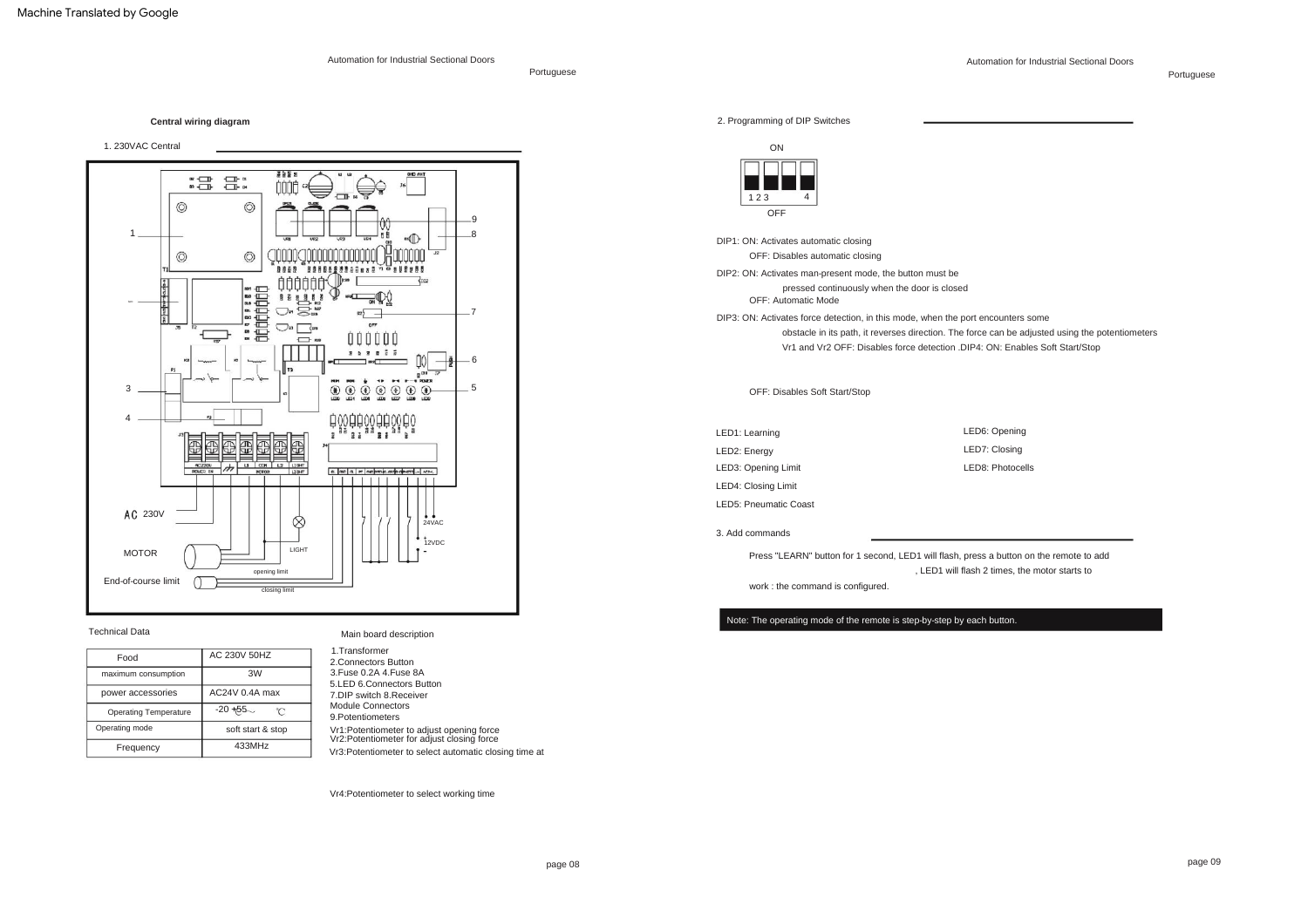Automation for Industrial Sectional Doors

Portuguese

Automation for Industrial Sectional Doors

Portuguese

**Central wiring diagram**

1. 230VAC Central



# Technical Data

| Food                         | AC 230V 50HZ      |
|------------------------------|-------------------|
| maximum consumption          | 3W                |
| power accessories            | AC24V 0.4A max    |
| <b>Operating Temperature</b> | $-20 + 55$<br>r   |
| Operating mode               | soft start & stop |
| Frequency                    | 433MHz            |

# Main board description

| 1. Transformer                                                                           |  |
|------------------------------------------------------------------------------------------|--|
| 2.Connectors Button                                                                      |  |
| 3. Fuse 0.2A 4. Fuse 8A                                                                  |  |
| 5.LED 6.Connectors Button                                                                |  |
| 7.DIP switch 8.Receiver                                                                  |  |
| Module Connectors                                                                        |  |
| 9. Potentiometers                                                                        |  |
| Vr1:Potentiometer to adjust opening force<br>Vr2: Potentiometer for adjust closing force |  |
| Vr3:Potentiometer to select automatic closing time at                                    |  |

Vr4:Potentiometer to select working time

2. Programming of DIP Switches



DIP1: ON: Activates automatic closing

OFF: Disables automatic closing

DIP2: ON: Activates man-present mode, the button must be

pressed continuously when the door is closed

OFF: Automatic Mode

DIP3: ON: Activates force detection, in this mode, when the port encounters some

obstacle in its path, it reverses direction. The force can be adjusted using the potentiometers Vr1 and Vr2 OFF: Disables force detection .DIP4: ON: Enables Soft Start/Stop

OFF: Disables Soft Start/Stop

LED4: Closing Limit LED3: Opening Limit LED5: Pneumatic Coast LED1: Learning LED6: Opening LED7: Closing LED2: Energy LED8: Photocells

## 3. Add commands

work : the command is configured. Press "LEARN" button for 1 second, LED1 will flash, press a button on the remote to add , LED1 will flash 2 times, the motor starts to

Note: The operating mode of the remote is step-by-step by each button.

page 09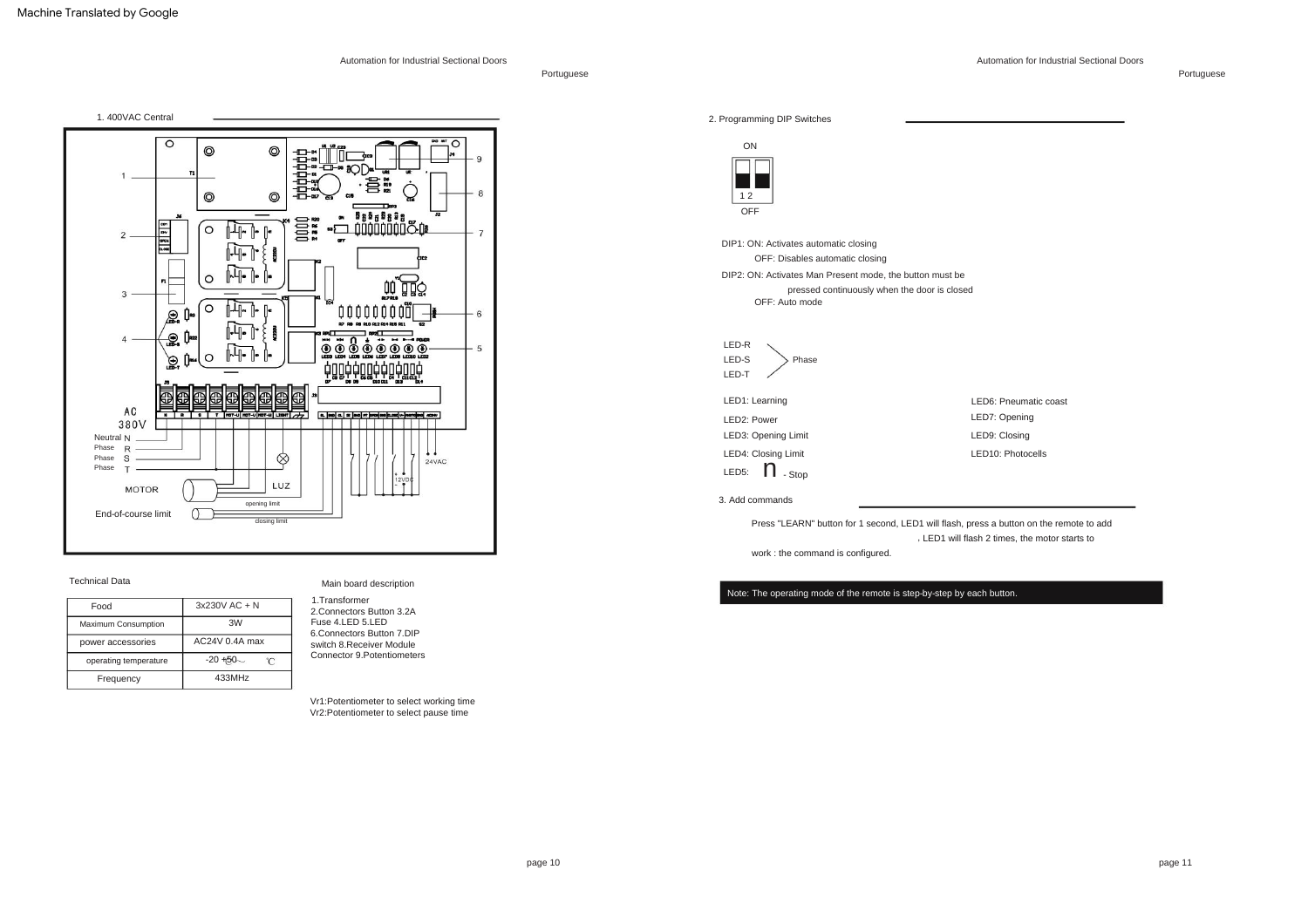Portuguese



#### Technical Data

| Food                  | $3x230V$ AC + N |
|-----------------------|-----------------|
| Maximum Consumption   | 3W              |
| power accessories     | AC24V 0.4A max  |
| operating temperature | $-20 + 50$<br>r |
| Frequency             | 433MHz          |

# Main board description

| 1. Transformer              |
|-----------------------------|
| 2.Connectors Button 3.2A    |
| Fuse 4.LED 5.LED            |
| 6.Connectors Button 7.DIP   |
| switch 8.Receiver Module    |
| Connector 9. Potentiometers |
|                             |

Vr1:Potentiometer to select working time Vr2:Potentiometer to select pause time



Press "LEARN" button for 1 second, LED1 will flash, press a button on the remote to add LED1 will flash 2 times, the motor starts to ,

work : the command is configured.

Note: The operating mode of the remote is step-by-step by each button.